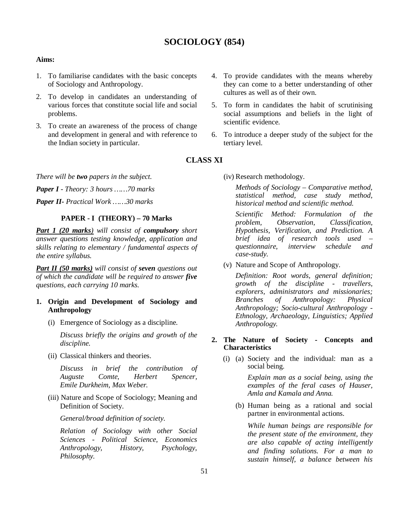# **SOCIOLOGY (854)**

#### **Aims:**

- 1. To familiarise candidates with the basic concepts of Sociology and Anthropology.
- 2. To develop in candidates an understanding of various forces that constitute social life and social problems.
- 3. To create an awareness of the process of change and development in general and with reference to the Indian society in particular.
- they can come to a better understanding of other cultures as well as of their own.
	- 5. To form in candidates the habit of scrutinising social assumptions and beliefs in the light of scientific evidence.

4. To provide candidates with the means whereby

6. To introduce a deeper study of the subject for the tertiary level.

# **CLASS XI**

*There will be two papers in the subject.*

*Paper I - Theory: 3 hours ……70 marks*

*Paper II- Practical Work ……30 marks*

# **PAPER - I (THEORY) – 70 Marks**

*Part 1 (20 marks) will consist of compulsory short answer questions testing knowledge, application and skills relating to elementary / fundamental aspects of the entire syllabus.*

*Part II (50 marks) will consist of seven questions out of which the candidate will be required to answer five questions, each carrying 10 marks.*

# **1. Origin and Development of Sociology and Anthropology**

(i) Emergence of Sociology as a discipline.

*Discuss briefly the origins and growth of the discipline.* 

(ii) Classical thinkers and theories.

*Discuss in brief the contribution of Auguste Comte, Herbert Spencer, Emile Durkheim, Max Weber.*

(iii) Nature and Scope of Sociology; Meaning and Definition of Society.

*General/broad definition of society.* 

*Relation of Sociology with other Social Sciences - Political Science, Economics Anthropology, History, Psychology, Philosophy.*

(iv) Research methodology.

*Methods of Sociology – Comparative method, statistical method, case study method, historical method and scientific method.*

*Scientific Method: Formulation of the problem, Observation, Classification, Hypothesis, Verification, and Prediction. A brief idea of research tools used – questionnaire, interview schedule and case-study.*

(v) Nature and Scope of Anthropology.

*Definition: Root words, general definition; growth of the discipline - travellers, explorers, administrators and missionaries; Branches of Anthropology: Physical Anthropology; Socio-cultural Anthropology - Ethnology, Archaeology, Linguistics; Applied Anthropology.* 

# **2. The Nature of Society - Concepts and Characteristics**

(i) (a) Society and the individual: man as a social being.

> *Explain man as a social being, using the examples of the feral cases of Hauser, Amla and Kamala and Anna.*

(b) Human being as a rational and social partner in environmental actions.

*While human beings are responsible for the present state of the environment, they are also capable of acting intelligently and finding solutions. For a man to sustain himself, a balance between his*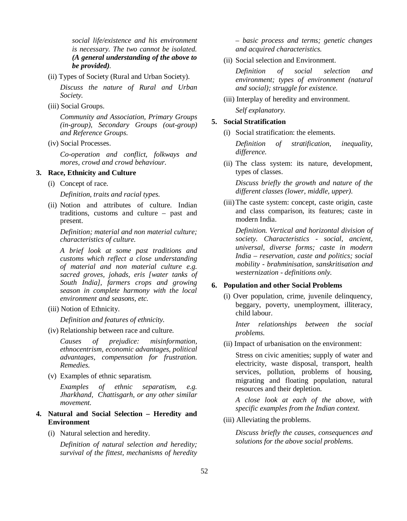*social life/existence and his environment is necessary. The two cannot be isolated. (A general understanding of the above to be provided).*

(ii) Types of Society (Rural and Urban Society).

*Discuss the nature of Rural and Urban Society.*

(iii) Social Groups.

*Community and Association, Primary Groups (in-group), Secondary Groups (out-group) and Reference Groups.*

(iv) Social Processes.

*Co-operation and conflict, folkways and mores, crowd and crowd behaviour.*

# **3. Race, Ethnicity and Culture**

(i) Concept of race.

*Definition, traits and racial types.* 

(ii) Notion and attributes of culture. Indian traditions, customs and culture – past and present.

*Definition; material and non material culture; characteristics of culture.*

*A brief look at some past traditions and customs which reflect a close understanding of material and non material culture e.g. sacred groves, johads, eris [water tanks of South India], farmers crops and growing season in complete harmony with the local environment and seasons, etc.*

(iii) Notion of Ethnicity.

*Definition and features of ethnicity.*

(iv) Relationship between race and culture.

*Causes of prejudice: misinformation, ethnocentrism, economic advantages, political advantages, compensation for frustration. Remedies.*

(v) Examples of ethnic separatism.

*Examples of ethnic separatism, e.g. Jharkhand, Chattisgarh, or any other similar movement.*

- **4. Natural and Social Selection Heredity and Environment**
	- (i) Natural selection and heredity.

*Definition of natural selection and heredity; survival of the fittest, mechanisms of heredity*  *– basic process and terms; genetic changes and acquired characteristics.*

(ii) Social selection and Environment.

*Definition of social selection and environment; types of environment (natural and social); struggle for existence.*

(iii) Interplay of heredity and environment. *Self explanatory.*

# **5. Social Stratification**

(i) Social stratification: the elements.

*Definition of stratification, inequality, difference.*

(ii) The class system: its nature, development, types of classes.

*Discuss briefly the growth and nature of the different classes (lower, middle, upper).*

(iii)The caste system: concept, caste origin, caste and class comparison, its features; caste in modern India.

*Definition. Vertical and horizontal division of society. Characteristics - social, ancient, universal, diverse forms; caste in modern India – reservation, caste and politics; social mobility - brahminisation, sanskritisation and westernization - definitions only.*

# **6. Population and other Social Problems**

(i) Over population, crime, juvenile delinquency, beggary, poverty, unemployment, illiteracy, child labour.

*Inter relationships between the social problems.* 

(ii) Impact of urbanisation on the environment:

Stress on civic amenities; supply of water and electricity, waste disposal, transport, health services, pollution, problems of housing, migrating and floating population, natural resources and their depletion.

*A close look at each of the above, with specific examples from the Indian context.*

(iii) Alleviating the problems.

*Discuss briefly the causes, consequences and solutions for the above social problems.*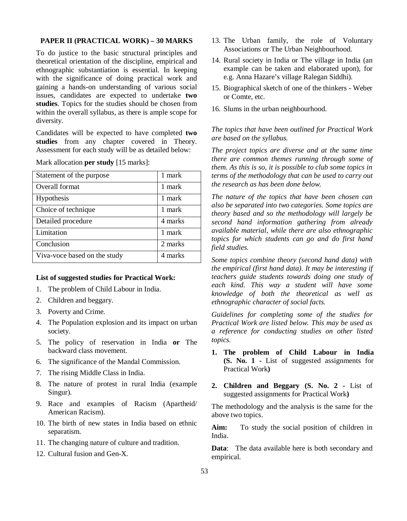# **PAPER II (PRACTICAL WORK) – 30 MARKS**

To do justice to the basic structural principles and theoretical orientation of the discipline, empirical and ethnographic substantiation is essential. In keeping with the significance of doing practical work and gaining a hands-on understanding of various social issues, candidates are expected to undertake **two studies**. Topics for the studies should be chosen from within the overall syllabus, as there is ample scope for diversity.

Candidates will be expected to have completed **two studies** from any chapter covered in Theory. Assessment for each study will be as detailed below:

| Statement of the purpose     | 1 mark  |
|------------------------------|---------|
| Overall format               | 1 mark  |
| Hypothesis                   | 1 mark  |
| Choice of technique          | 1 mark  |
| Detailed procedure           | 4 marks |
| Limitation                   | 1 mark  |
| Conclusion                   | 2 marks |
| Viva-voce based on the study | 4 marks |

Mark allocation **per study** [15 marks]:

#### **List of suggested studies for Practical Work:**

- 1. The problem of Child Labour in India.
- 2. Children and beggary.
- 3. Poverty and Crime.
- 4. The Population explosion and its impact on urban society.
- 5. The policy of reservation in India **or** The backward class movement.
- 6. The significance of the Mandal Commission.
- 7. The rising Middle Class in India.
- 8. The nature of protest in rural India (example Singur).
- 9. Race and examples of Racism (Apartheid/ American Racism).
- 10. The birth of new states in India based on ethnic separatism.
- 11. The changing nature of culture and tradition.
- 12. Cultural fusion and Gen-X.
- 13. The Urban family, the role of Voluntary Associations or The Urban Neighbourhood.
- 14. Rural society in India or The village in India (an example can be taken and elaborated upon), for e.g. Anna Hazare's village Ralegan Siddhi).
- 15. Biographical sketch of one of the thinkers Weber or Comte, etc.
- 16. Slums in the urban neighbourhood.

*The topics that have been outlined for Practical Work are based on the syllabus.*

*The project topics are diverse and at the same time there are common themes running through some of them. As this is so, it is possible to club some topics in terms of the methodology that can be used to carry out the research as has been done below.*

*The nature of the topics that have been chosen can also be separated into two categories. Some topics are theory based and so the methodology will largely be second hand information gathering from already available material, while there are also ethnographic topics for which students can go and do first hand field studies.*

*Some topics combine theory (second hand data) with the empirical (first hand data). It may be interesting if teachers guide students towards doing one study of each kind. This way a student will have some knowledge of both the theoretical as well as ethnographic character of social facts.*

*Guidelines for completing some of the studies for Practical Work are listed below. This may be used as a reference for conducting studies on other listed topics.*

- **1. The problem of Child Labour in India (S. No. 1 -** List of suggested assignments for Practical Work**)**
- **2. Children and Beggary (S. No. 2 -** List of suggested assignments for Practical Work**)**

The methodology and the analysis is the same for the above two topics.

**Aim:** To study the social position of children in India.

**Data**: The data available here is both secondary and empirical.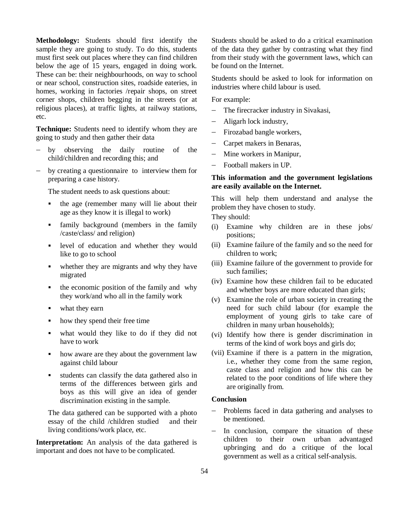**Methodology:** Students should first identify the sample they are going to study. To do this, students must first seek out places where they can find children below the age of 15 years, engaged in doing work. These can be: their neighbourhoods, on way to school or near school, construction sites, roadside eateries, in homes, working in factories /repair shops, on street corner shops, children begging in the streets (or at religious places), at traffic lights, at railway stations, etc.

**Technique:** Students need to identify whom they are going to study and then gather their data

- by observing the daily routine of the child/children and recording this; and
- by creating a questionnaire to interview them for preparing a case history.

The student needs to ask questions about:

- the age (remember many will lie about their age as they know it is illegal to work)
- family background (members in the family /caste/class/ and religion)
- level of education and whether they would like to go to school
- whether they are migrants and why they have migrated
- the economic position of the family and why they work/and who all in the family work
- what they earn
- how they spend their free time
- what would they like to do if they did not have to work
- how aware are they about the government law against child labour
- students can classify the data gathered also in terms of the differences between girls and boys as this will give an idea of gender discrimination existing in the sample.

The data gathered can be supported with a photo essay of the child /children studied and their living conditions/work place, etc.

**Interpretation:** An analysis of the data gathered is important and does not have to be complicated.

Students should be asked to do a critical examination of the data they gather by contrasting what they find from their study with the government laws, which can be found on the Internet.

Students should be asked to look for information on industries where child labour is used.

For example:

- The firecracker industry in Sivakasi,
- Aligarh lock industry,
- Firozabad bangle workers,
- Carpet makers in Benaras,
- Mine workers in Manipur,
- Football makers in UP.

# **This information and the government legislations are easily available on the Internet.**

This will help them understand and analyse the problem they have chosen to study.

They should:

- (i) Examine why children are in these jobs/ positions;
- (ii) Examine failure of the family and so the need for children to work;
- (iii) Examine failure of the government to provide for such families;
- (iv) Examine how these children fail to be educated and whether boys are more educated than girls;
- (v) Examine the role of urban society in creating the need for such child labour (for example the employment of young girls to take care of children in many urban households);
- (vi) Identify how there is gender discrimination in terms of the kind of work boys and girls do;
- (vii) Examine if there is a pattern in the migration, i.e., whether they come from the same region, caste class and religion and how this can be related to the poor conditions of life where they are originally from.

#### **Conclusion**

- Problems faced in data gathering and analyses to be mentioned.
- $-$  In conclusion, compare the situation of these children to their own urban advantaged upbringing and do a critique of the local government as well as a critical self-analysis.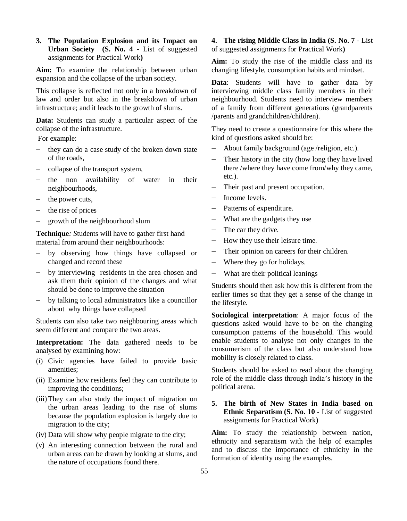**3. The Population Explosion and its Impact on Urban Society (S. No. 4 -** List of suggested assignments for Practical Work**)**

**Aim:** To examine the relationship between urban expansion and the collapse of the urban society.

This collapse is reflected not only in a breakdown of law and order but also in the breakdown of urban infrastructure; and it leads to the growth of slums.

**Data:** Students can study a particular aspect of the collapse of the infrastructure.

For example:

- they can do a case study of the broken down state of the roads,
- collapse of the transport system,
- the non availability of water in their neighbourhoods,
- the power cuts,
- the rise of prices
- growth of the neighbourhood slum

**Technique***: S*tudents will have to gather first hand material from around their neighbourhoods:

- by observing how things have collapsed or changed and record these
- by interviewing residents in the area chosen and ask them their opinion of the changes and what should be done to improve the situation
- by talking to local administrators like a councillor about why things have collapsed

Students can also take two neighbouring areas which seem different and compare the two areas.

**Interpretation:** The data gathered needs to be analysed by examining how:

- (i) Civic agencies have failed to provide basic amenities;
- (ii) Examine how residents feel they can contribute to improving the conditions;
- (iii)They can also study the impact of migration on the urban areas leading to the rise of slums because the population explosion is largely due to migration to the city;
- (iv) Data will show why people migrate to the city;
- (v) An interesting connection between the rural and urban areas can be drawn by looking at slums, and the nature of occupations found there.

**4. The rising Middle Class in India (S. No. 7 -** List of suggested assignments for Practical Work**)**

**Aim:** To study the rise of the middle class and its changing lifestyle, consumption habits and mindset.

**Data**: Students will have to gather data by interviewing middle class family members in their neighbourhood. Students need to interview members of a family from different generations (grandparents /parents and grandchildren/children).

They need to create a questionnaire for this where the kind of questions asked should be:

- About family background (age /religion, etc.).
- Their history in the city (how long they have lived there /where they have come from/why they came, etc.).
- Their past and present occupation.
- Income levels.
- Patterns of expenditure.
- What are the gadgets they use
- The car they drive.
- How they use their leisure time.
- Their opinion on careers for their children.
- Where they go for holidays.
- What are their political leanings

Students should then ask how this is different from the earlier times so that they get a sense of the change in the lifestyle.

**Sociological interpretation**: A major focus of the questions asked would have to be on the changing consumption patterns of the household. This would enable students to analyse not only changes in the consumerism of the class but also understand how mobility is closely related to class.

Students should be asked to read about the changing role of the middle class through India's history in the political arena.

# **5. The birth of New States in India based on Ethnic Separatism (S. No. 10 -** List of suggested assignments for Practical Work**)**

**Aim:** To study the relationship between nation, ethnicity and separatism with the help of examples and to discuss the importance of ethnicity in the formation of identity using the examples.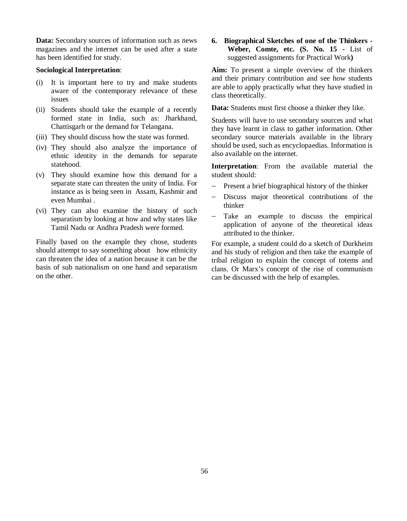**Data:** Secondary sources of information such as news magazines and the internet can be used after a state has been identified for study.

#### **Sociological Interpretation**:

- (i) It is important here to try and make students aware of the contemporary relevance of these issues
- (ii) Students should take the example of a recently formed state in India, such as: Jharkhand, Chattisgarh or the demand for Telangana.
- (iii) They should discuss how the state was formed.
- (iv) They should also analyze the importance of ethnic identity in the demands for separate statehood.
- (v) They should examine how this demand for a separate state can threaten the unity of India. For instance as is being seen in Assam, Kashmir and even Mumbai .
- (vi) They can also examine the history of such separatism by looking at how and why states like Tamil Nadu or Andhra Pradesh were formed.

Finally based on the example they chose, students should attempt to say something about how ethnicity can threaten the idea of a nation because it can be the basis of sub nationalism on one hand and separatism on the other.

**6. Biographical Sketches of one of the Thinkers - Weber, Comte, etc. (S. No. 15 -** List of suggested assignments for Practical Work**)**

**Aim:** To present a simple overview of the thinkers and their primary contribution and see how students are able to apply practically what they have studied in class theoretically.

**Data:** Students must first choose a thinker they like.

Students will have to use secondary sources and what they have learnt in class to gather information. Other secondary source materials available in the library should be used, such as encyclopaedias. Information is also available on the internet.

**Interpretation**: From the available material the student should:

- $P$  Present a brief biographical history of the thinker
- Discuss major theoretical contributions of the thinker
- Take an example to discuss the empirical application of anyone of the theoretical ideas attributed to the thinker.

For example, a student could do a sketch of Durkheim and his study of religion and then take the example of tribal religion to explain the concept of totems and clans. Or Marx's concept of the rise of communism can be discussed with the help of examples.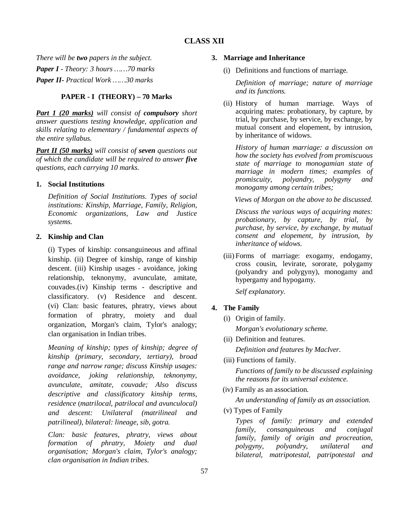# **CLASS XII**

*There will be two papers in the subject. Paper I - Theory: 3 hours ……70 marks Paper II- Practical Work ……30 marks*

# **PAPER - I (THEORY) – 70 Marks**

*Part 1 (20 marks) will consist of compulsory short answer questions testing knowledge, application and skills relating to elementary / fundamental aspects of the entire syllabus.*

*Part II (50 marks) will consist of seven questions out of which the candidate will be required to answer five questions, each carrying 10 marks.*

# **1. Social Institutions**

*Definition of Social Institutions. Types of social institutions: Kinship, Marriage, Family, Religion, Economic organizations, Law and Justice systems.*

# **2. Kinship and Clan**

(i) Types of kinship: consanguineous and affinal kinship. (ii) Degree of kinship, range of kinship descent. (iii) Kinship usages - avoidance, joking relationship, teknonymy, avunculate, amitate, couvades.(iv) Kinship terms - descriptive and classificatory. (v) Residence and descent. (vi) Clan: basic features, phratry, views about formation of phratry, moiety and dual organization, Morgan's claim, Tylor's analogy; clan organisation in Indian tribes.

*Meaning of kinship; types of kinship; degree of kinship (primary, secondary, tertiary), broad range and narrow range; discuss Kinship usages: avoidance, joking relationship, teknonymy, avunculate, amitate, couvade; Also discuss descriptive and classificatory kinship terms, residence* (*matrilocal, patrilocal and avunculocal) and descent: Unilateral (matrilineal and patrilineal), bilateral: lineage, sib, gotra.*

*Clan: basic features, phratry, views about formation of phratry, Moiety and dual organisation; Morgan's claim, Tylor's analogy; clan organisation in Indian tribes.*

## **3. Marriage and Inheritance**

(i) Definitions and functions of marriage.

*Definition of marriage; nature of marriage and its functions.*

(ii) History of human marriage. Ways of acquiring mates: probationary, by capture, by trial, by purchase, by service, by exchange, by mutual consent and elopement, by intrusion, by inheritance of widows.

*History of human marriage: a discussion on how the society has evolved from promiscuous state of marriage to monogamian state of marriage in modern times; examples of promiscuity, polyandry, polygyny and monogamy among certain tribes;* 

 *Views of Morgan on the above to be discussed.*

*Discuss the various ways of acquiring mates: probationary, by capture, by trial, by purchase, by service, by exchange, by mutual consent and elopement, by intrusion, by inheritance of widows.*

(iii) Forms of marriage: exogamy, endogamy, cross cousin, levirate, sororate, polygamy (polyandry and polygyny), monogamy and hypergamy and hypogamy.

*Self explanatory.*

# **4. The Family**

- (i) Origin of family. *Morgan's evolutionary scheme.*
- (ii) Definition and features.

*Definition and features by MacIver.*

(iii) Functions of family.

*Functions of family to be discussed explaining the reasons for its universal existence.* 

(iv) Family as an association.

*An understanding of family as an association.*

(v) Types of Family

*Types of family: primary and extended family, consanguineous and conjugal family, family of origin and procreation, polygyny, polyandry, unilateral and bilateral, matripotestal, patripotestal and*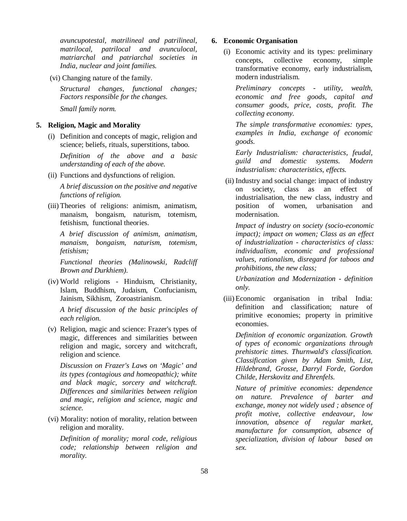*avuncupotestal, matrilineal and patrilineal, matrilocal, patrilocal and avunculocal, matriarchal and patriarchal societies in India, nuclear and joint families.* 

(vi) Changing nature of the family.

*Structural changes, functional changes; Factors responsible for the changes.* 

*Small family norm.*

## **5. Religion, Magic and Morality**

(i) Definition and concepts of magic, religion and science; beliefs, rituals, superstitions, taboo.

*Definition of the above and a basic understanding of each of the above.* 

(ii) Functions and dysfunctions of religion.

*A brief discussion on the positive and negative functions of religion.* 

(iii) Theories of religions: animism, animatism, manaism, bongaism, naturism, totemism, fetishism, functional theories.

*A brief discussion of animism, animatism, manaism, bongaism, naturism, totemism, fetishism;* 

*Functional theories (Malinowski, Radcliff Brown and Durkhiem).*

(iv) World religions - Hinduism, Christianity, Islam, Buddhism, Judaism, Confucianism, Jainism, Sikhism, Zoroastrianism.

*A brief discussion of the basic principles of each religion.* 

(v) Religion, magic and science: Frazer's types of magic, differences and similarities between religion and magic, sorcery and witchcraft, religion and science.

*Discussion on Frazer's Laws on 'Magic' and its types (contagious and homeopathic); white and black magic, sorcery and witchcraft. Differences and similarities between religion and magic, religion and science, magic and science.*

(vi) Morality: notion of morality, relation between religion and morality.

*Definition of morality; moral code, religious code; relationship between religion and morality.*

### **6. Economic Organisation**

(i) Economic activity and its types: preliminary concepts, collective economy, simple transformative economy, early industrialism, modern industrialism.

*Preliminary concepts - utility, wealth, economic and free goods, capital and consumer goods, price, costs, profit. The collecting economy.*

*The simple transformative economies: types, examples in India, exchange of economic goods.*

*Early Industrialism: characteristics, feudal, guild and domestic systems. Modern industrialism: characteristics, effects.*

 (ii) Industry and social change: impact of industry on society, class as an effect of industrialisation, the new class, industry and position of women, urbanisation and modernisation.

*Impact of industry on society (socio-economic impact); impact on women; Class as an effect of industrialization - characteristics of class: individualism, economic and professional values, rationalism, disregard for taboos and prohibitions, the new class;* 

*Urbanization and Modernization - definition only.*

(iii) Economic organisation in tribal India: definition and classification; nature of primitive economies; property in primitive economies.

*Definition of economic organization. Growth of types of economic organizations through prehistoric times. Thurnwald's classification. Classification given by Adam Smith, List, Hildebrand, Grosse, Darryl Forde, Gordon Childe, Herskovitz and Ehrenfels.*

*Nature of primitive economies: dependence on nature. Prevalence of barter and exchange, money not widely used ; absence of profit motive, collective endeavour, low innovation, absence of regular market, manufacture for consumption, absence of specialization, division of labour based on sex.*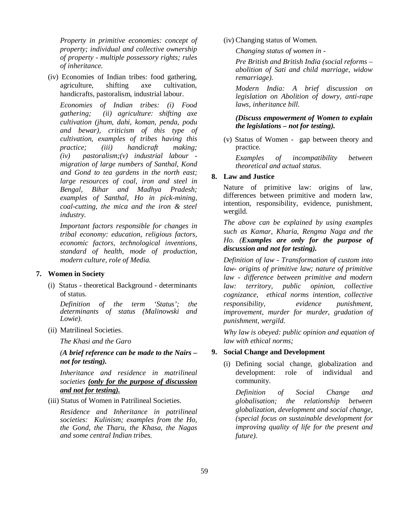*Property in primitive economies: concept of property; individual and collective ownership of property - multiple possessory rights; rules of inheritance.*

(iv) Economies of Indian tribes: food gathering, agriculture, shifting axe cultivation, handicrafts, pastoralism, industrial labour.

*Economies of Indian tribes: (i) Food gathering; (ii) agriculture: shifting axe cultivation (jhum, dahi, koman, penda, podu and bewar), criticism of this type of cultivation, examples of tribes having this practice; (iii) handicraft making; (iv) pastoralism;(v) industrial labour migration of large numbers of Santhal, Kond and Gond to tea gardens in the north east; large resources of coal, iron and steel in Bengal, Bihar and Madhya Pradesh; examples of Santhal, Ho in pick-mining, coal-cutting, the mica and the iron & steel industry.*

*Important factors responsible for changes in tribal economy: education, religious factors, economic factors, technological inventions, standard of health, mode of production, modern culture, role of Media.*

### **7. Women in Society**

(i) Status - theoretical Background - determinants of status.

*Definition of the term 'Status'; the determinants of status (Malinowski and Lowie).*

(ii) Matrilineal Societies.

*The Khasi and the Garo* 

*(A brief reference can be made to the Nairs – not for testing).* 

*Inheritance and residence in matrilineal societies (only for the purpose of discussion and not for testing).*

(iii) Status of Women in Patrilineal Societies.

*Residence and Inheritance in patrilineal societies: Kulinism; examples from the Ho, the Gond, the Tharu, the Khasa, the Nagas and some central Indian tribes.*

(iv) Changing status of Women.

*Changing status of women in -*

*Pre British and British India (social reforms – abolition of Sati and child marriage, widow remarriage).*

*Modern India: A brief discussion on legislation on Abolition of dowry, anti-rape laws, inheritance bill.* 

# *(Discuss empowerment of Women to explain the legislations – not for testing).*

(v) Status of Women - gap between theory and practice.

*Examples of incompatibility between theoretical and actual status.*

# **8. Law and Justice**

Nature of primitive law: origins of law, differences between primitive and modern law, intention, responsibility, evidence, punishment, wergild.

*The above can be explained by using examples such as Kamar, Kharia, Rengma Naga and the Ho. (Examples are only for the purpose of discussion and not for testing).*

*Definition of law - Transformation of custom into law- origins of primitive law; nature of primitive law - difference between primitive and modern law: territory, public opinion, collective cognizance, ethical norms intention, collective responsibility, evidence punishment, improvement, murder for murder, gradation of punishment, wergild.* 

*Why law is obeyed: public opinion and equation of law with ethical norms;* 

#### **9. Social Change and Development**

(i) Defining social change, globalization and development: role of individual and community.

*Definition of Social Change and globalisation; the relationship between globalization, development and social change, (special focus on sustainable development for improving quality of life for the present and future).*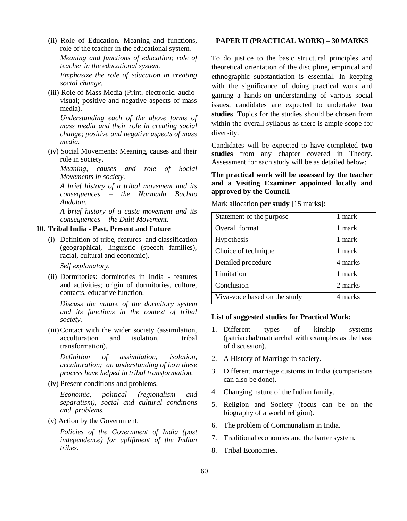(ii) Role of Education. Meaning and functions, role of the teacher in the educational system. *Meaning and functions of education; role of teacher in the educational system.*

*Emphasize the role of education in creating social change.* 

(iii) Role of Mass Media (Print, electronic, audiovisual; positive and negative aspects of mass media).

*Understanding each of the above forms of mass media and their role in creating social change; positive and negative aspects of mass media.*

(iv) Social Movements: Meaning, causes and their role in society.

*Meaning, causes and role of Social Movements in society.*

*A brief history of a tribal movement and its consequences – the Narmada Bachao Andolan.*

*A brief history of a caste movement and its consequences - the Dalit Movement.*

# **10. Tribal India - Past, Present and Future**

(i) Definition of tribe, features and classification (geographical, linguistic (speech families), racial, cultural and economic).

*Self explanatory.*

(ii) Dormitories: dormitories in India - features and activities; origin of dormitories, culture, contacts, educative function.

*Discuss the nature of the dormitory system and its functions in the context of tribal society.*

(iii)Contact with the wider society (assimilation, acculturation and isolation, tribal transformation).

*Definition of assimilation, isolation, acculturation; an understanding of how these process have helped in tribal transformation.*

(iv) Present conditions and problems.

*Economic, political (regionalism and separatism), social and cultural conditions and problems.*

(v) Action by the Government.

*Policies of the Government of India (post independence) for upliftment of the Indian tribes.*

#### **PAPER II (PRACTICAL WORK) – 30 MARKS**

To do justice to the basic structural principles and theoretical orientation of the discipline, empirical and ethnographic substantiation is essential. In keeping with the significance of doing practical work and gaining a hands-on understanding of various social issues, candidates are expected to undertake **two studies**. Topics for the studies should be chosen from within the overall syllabus as there is ample scope for diversity.

Candidates will be expected to have completed **two studies** from any chapter covered in Theory. Assessment for each study will be as detailed below:

# **The practical work will be assessed by the teacher and a Visiting Examiner appointed locally and approved by the Council.**

Mark allocation **per study** [15 marks]:

| Statement of the purpose     | 1 mark  |
|------------------------------|---------|
| Overall format               | 1 mark  |
| Hypothesis                   | 1 mark  |
| Choice of technique          | 1 mark  |
| Detailed procedure           | 4 marks |
| Limitation                   | 1 mark  |
| Conclusion                   | 2 marks |
| Viva-voce based on the study | 4 marks |

#### **List of suggested studies for Practical Work:**

- 1. Different types of kinship systems (patriarchal/matriarchal with examples as the base of discussion).
- 2. A History of Marriage in society.
- 3. Different marriage customs in India (comparisons can also be done).
- 4. Changing nature of the Indian family.
- 5. Religion and Society (focus can be on the biography of a world religion).
- 6. The problem of Communalism in India.
- 7. Traditional economies and the barter system.
- 8. Tribal Economies.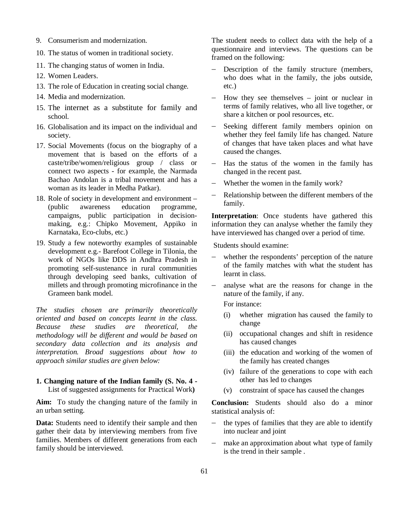- 9. Consumerism and modernization.
- 10. The status of women in traditional society.
- 11. The changing status of women in India.
- 12. Women Leaders.
- 13. The role of Education in creating social change.
- 14. Media and modernization.
- 15. The internet as a substitute for family and school.
- 16. Globalisation and its impact on the individual and society.
- 17. Social Movements (focus on the biography of a movement that is based on the efforts of a caste/tribe/women/religious group / class or connect two aspects - for example, the Narmada Bachao Andolan is a tribal movement and has a woman as its leader in Medha Patkar).
- 18. Role of society in development and environment (public awareness education programme, campaigns, public participation in decisionmaking, e.g.: Chipko Movement, Appiko in Karnataka, Eco-clubs, etc.)
- 19. Study a few noteworthy examples of sustainable development e.g.- Barefoot College in Tilonia, the work of NGOs like DDS in Andhra Pradesh in promoting self-sustenance in rural communities through developing seed banks, cultivation of millets and through promoting microfinance in the Grameen bank model.

*The studies chosen are primarily theoretically oriented and based on concepts learnt in the class. Because these studies are theoretical, the methodology will be different and would be based on secondary data collection and its analysis and interpretation. Broad suggestions about how to approach similar studies are given below:*

#### **1. Changing nature of the Indian family (S. No. 4 -** List of suggested assignments for Practical Work**)**

**Aim:** To study the changing nature of the family in an urban setting.

**Data:** Students need to identify their sample and then gather their data by interviewing members from five families. Members of different generations from each family should be interviewed.

The student needs to collect data with the help of a questionnaire and interviews. The questions can be framed on the following:

- Description of the family structure (members, who does what in the family, the jobs outside, etc.)
- How they see themselves joint or nuclear in terms of family relatives, who all live together, or share a kitchen or pool resources, etc.
- Seeking different family members opinion on whether they feel family life has changed. Nature of changes that have taken places and what have caused the changes.
- $-$  Has the status of the women in the family has changed in the recent past.
- Whether the women in the family work?
- Relationship between the different members of the family.

**Interpretation**: Once students have gathered this information they can analyse whether the family they have interviewed has changed over a period of time.

Students should examine:

- whether the respondents' perception of the nature of the family matches with what the student has learnt in class.
- analyse what are the reasons for change in the nature of the family, if any.

For instance:

- (i) whether migration has caused the family to change
- (ii) occupational changes and shift in residence has caused changes
- (iii) the education and working of the women of the family has created changes
- (iv) failure of the generations to cope with each other has led to changes
- (v) constraint of space has caused the changes

**Conclusion:** Students should also do a minor statistical analysis of:

- the types of families that they are able to identify into nuclear and joint
- make an approximation about what type of family is the trend in their sample .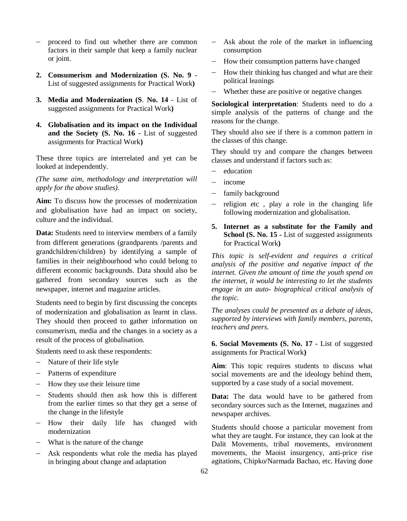- proceed to find out whether there are common factors in their sample that keep a family nuclear or joint.
- **2. Consumerism and Modernization (S. No. 9** List of suggested assignments for Practical Work**)**
- **3. Media and Modernization (S**. **No. 14** List of suggested assignments for Practical Work**)**
- **4. Globalisation and its impact on the Individual and the Society (S. No. 16 -** List of suggested assignments for Practical Work**)**

These three topics are interrelated and yet can be looked at independently.

*(The same aim, methodology and interpretation will apply for the above studies).*

**Aim:** To discuss how the processes of modernization and globalisation have had an impact on society, culture and the individual.

**Data:** Students need to interview members of a family from different generations (grandparents /parents and grandchildren/children) by identifying a sample of families in their neighbourhood who could belong to different economic backgrounds. Data should also be gathered from secondary sources such as the newspaper, internet and magazine articles.

Students need to begin by first discussing the concepts of modernization and globalisation as learnt in class. They should then proceed to gather information on consumerism, media and the changes in a society as a result of the process of globalisation.

Students need to ask these respondents:

- Nature of their life style
- Patterns of expenditure
- $-$  How they use their leisure time
- Students should then ask how this is different from the earlier times so that they get a sense of the change in the lifestyle
- How their daily life has changed with modernization
- What is the nature of the change
- Ask respondents what role the media has played in bringing about change and adaptation
- Ask about the role of the market in influencing consumption
- How their consumption patterns have changed
- $-$  How their thinking has changed and what are their political leanings
- Whether these are positive or negative changes

**Sociological interpretation**: Students need to do a simple analysis of the patterns of change and the reasons for the change.

They should also see if there is a common pattern in the classes of this change.

They should try and compare the changes between classes and understand if factors such as:

- education
- $-$  income
- family background
- $-$  religion etc, play a role in the changing life following modernization and globalisation.
- **5. Internet as a substitute for the Family and School (S. No. 15 - List of suggested assignments)** for Practical Work**)**

*This topic is self-evident and requires a critical analysis of the positive and negative impact of the internet. Given the amount of time the youth spend on the internet, it would be interesting to let the students engage in an auto- biographical critical analysis of the topic.* 

*The analyses could be presented as a debate of ideas, supported by interviews with family members, parents, teachers and peers.*

**6. Social Movements (S. No. 17 -** List of suggested assignments for Practical Work**)**

**Aim**: This topic requires students to discuss what social movements are and the ideology behind them, supported by a case study of a social movement.

**Data:** The data would have to be gathered from secondary sources such as the Internet, magazines and newspaper archives.

Students should choose a particular movement from what they are taught. For instance, they can look at the Dalit Movements, tribal movements, environment movements, the Maoist insurgency, anti-price rise agitations, Chipko/Narmada Bachao, etc. Having done